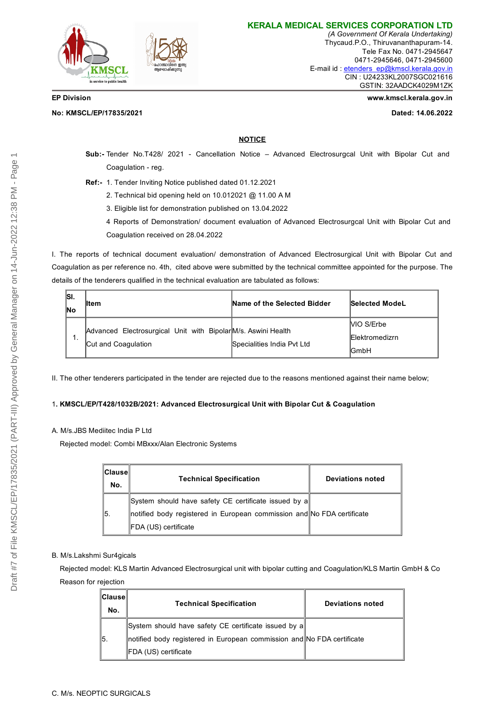

**KERALA MEDICAL SERVICES CORPORATION LTD**

*(A Government Of Kerala Undertaking)* Thycaud.P.O., Thiruvananthapuram-14. Tele Fax No. 0471-2945647 0471-2945646, 0471-2945600 E-mail id : [etenders\\_ep@kmscl.kerala.gov.in](mailto:etenders_ep@kmscl.kerala.gov.in) CIN : U24233KL2007SGC021616 GSTIN: 32AADCK4029M1ZK

**No: KMSCL/EP/17835/2021 Dated: 14.06.2022**

**EP Division www.kmscl.kerala.gov.in**

## **NOTICE**

- **Sub:-** Tender No.T428/ 2021 Cancellation Notice Advanced Electrosurgcal Unit with Bipolar Cut and Coagulation - reg.
- **Ref:-** 1. Tender Inviting Notice published dated 01.12.2021
	- 2. Technical bid opening held on 10.012021 @ 11.00 A M
	- 3. Eligible list for demonstration published on 13.04.2022
	- 4 Reports of Demonstration/ document evaluation of Advanced Electrosurgcal Unit with Bipolar Cut and Coagulation received on 28.04.2022

I. The reports of technical document evaluation/ demonstration of Advanced Electrosurgical Unit with Bipolar Cut and Coagulation as per reference no. 4th, cited above were submitted by the technical committee appointed for the purpose. The details of the tenderers qualified in the technical evaluation are tabulated as follows:

| ISI.<br>lNo | ⊪tem                                                                                 | Name of the Selected Bidder | Selected ModeL                                      |
|-------------|--------------------------------------------------------------------------------------|-----------------------------|-----------------------------------------------------|
| . .         | Advanced Electrosurgical Unit with Bipolar M/s. Aswini Health<br>Cut and Coagulation | Specialities India Pvt Ltd  | MO S/Erbe<br><b>IElektromedizrn</b><br><b>IGmbH</b> |

II. The other tenderers participated in the tender are rejected due to the reasons mentioned against their name below;

### 1**. KMSCL/EP/T428/1032B/2021: Advanced Electrosurgical Unit with Bipolar Cut & Coagulation**

### A. M/s.JBS Mediitec India P Ltd

Rejected model: Combi MBxxx/Alan Electronic Systems

| ∥Clause∥<br>No. | <b>Technical Specification</b>                                         | <b>Deviations noted</b> |
|-----------------|------------------------------------------------------------------------|-------------------------|
|                 | System should have safety CE certificate issued by a                   |                         |
| 15.             | notified body registered in European commission and No FDA certificate |                         |
|                 | ∥FDA (US) certificate                                                  |                         |

### B. M/s.Lakshmi Sur4gicals

Rejected model: KLS Martin Advanced Electrosurgical unit with bipolar cutting and Coagulation/KLS Martin GmbH & Co Reason for rejection

| ∥Clause∥<br>No. | <b>Technical Specification</b>                                         | <b>Deviations noted</b> |
|-----------------|------------------------------------------------------------------------|-------------------------|
|                 | ∥System should have safety CE certificate issued by a∥                 |                         |
| ∥5.             | notified body registered in European commission and No FDA certificate |                         |
|                 | ∥FDA (US) certificate                                                  |                         |